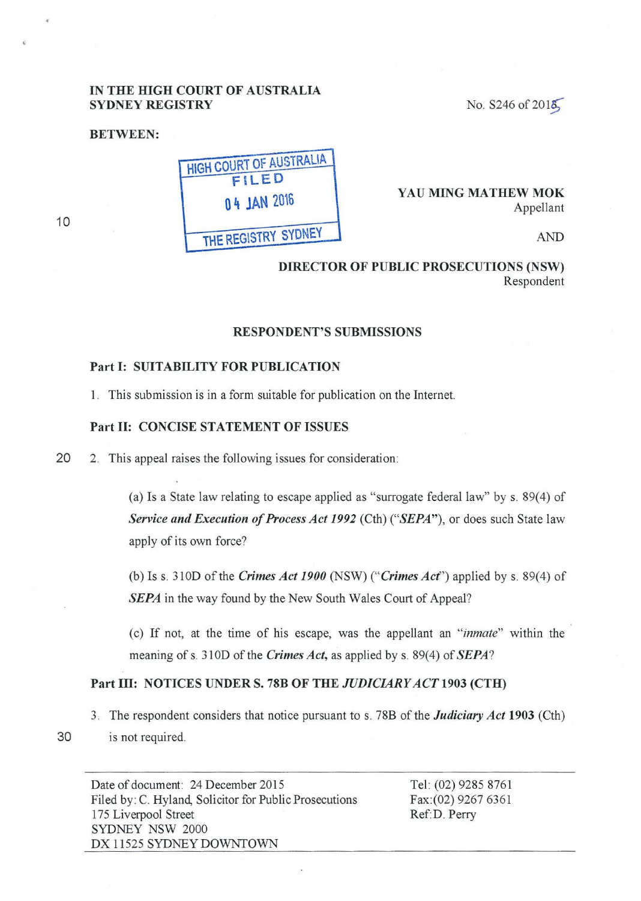# IN THE HIGH COURT OF AUSTRALIA SYDNEY REGISTRY

BETWEEN:

HiGH COURT OF AUSTRALIA FILED 0 4 JAN 2016 THE REGISTRY SYDNEY

No.  $$246 of 201\text{Å}$ 

YAU MING MATHEW MOK Appellant

AND

DIRECTOR OF PUBLIC PROSECUTIONS (NSW) Respondent

#### RESPONDENT'S SUBMISSIONS

## Part 1: SUITABILITY FOR PUBLICATION

1. This submission is in a form suitable for publication on the Internet.

#### Part II: CONCISE STATEMENT OF ISSUES

20 2. This appeal raises the following issues for consideration:

(a) Is a State law relating to escape applied as "surrogate federal law" by s.  $89(4)$  of *Service and Execution of Process Act 1992* (Cth) *("SEPA"),* or does such State law apply of its own force?

(b) Iss. 310D of the *Crimes Act 1900* (NSW) *("Crimes Acf')* applied by s. 89(4) of *SEPA* in the way found by the New South Wales Court of Appeal?

(c) If not, at the time of his escape, was the appellant an *"inmate"* within the meaning of s. 310D of the *Crimes Act*, as applied by s. 89(4) of *SEPA*?

# Part III: NOTICES UNDER S. 78B OF THE *JUDICIARY ACT* 1903 (CTH)

3. The respondent considers that notice pursuant to s. 78B of the *Judiciary Act* 1903 (Cth) 30 is not required.

Tel: (02) 9285 8761 Fax:(02) 9267 6361 Ref:D. Perry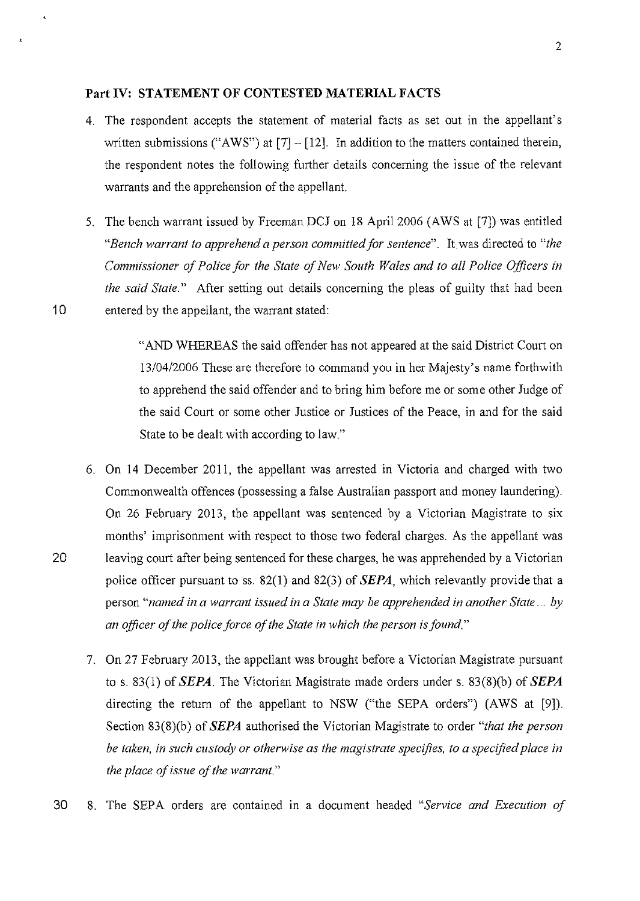## **Part IV: STATEMENT OF CONTESTED MATERIAL FACTS**

- 4. The respondent accepts the statement of material facts as set out in the appellant's written submissions ("AWS") at  $[7] - [12]$ . In addition to the matters contained therein, the respondent notes the following further details concerning the issue of the relevant warrants and the apprehension of the appellant.
- 5. The bench warrant issued by Freeman DCJ on 18 April2006 (AWS at [7]) was entitled *"Bench warrant to apprehend a person committed for sentence".* It was directed to *"the Commissioner of Police for the State of New South Wales and to all Police Officers in the said State."* After setting out details concerning the pleas of guilty that had been 10 entered by the appellant, the warrant stated:

"AND WHEREAS the said offender has not appeared at the said District Court on 13/04/2006 These are therefore to command you in her Majesty's name forthwith to apprehend the said offender and to bring him before me or some other Judge of the said Court or some other Justice or Justices of the Peace, in and for the said State to be dealt with according to law."

- 6. On 14 December 2011, the appellant was arrested in Victoria and charged with two Commonwealth offences (possessing a false Australian passport and money laundering). On 26 February 2013, the appellant was sentenced by a Victorian Magistrate to six months' imprisonment with respect to those two federal charges. As the appellant was 20 leaving court after being sentenced for these charges, he was apprehended by a Victorian police officer pursuant to ss. 82(1) and 82(3) of **SEPA,** which relevantly provide that a person *"named in a warrant issued in a State may be apprehended in another State ... by an officer of the police force of the State in which the person is found."* 
	- 7. On 27 February 2013, the appellant was brought before a Victorian Magistrate pursuant to s. 83(1) of **SEPA.** The Victorian Magistrate made orders under s. 83(8)(b) of **SEPA**  directing the return of the appellant to NSW ("the SEPA orders") (AWS at  $[9]$ ). Section 83(8)(b) of **SEPA** authorised the Victorian Magistrate to order *"that the person be taken, in such custody or otherwise as the magistrate specifies, to a specified place in the place of issue of the warrant."*
- 30 8. The SEPA orders are contained m a document headed *"Service and Execution of*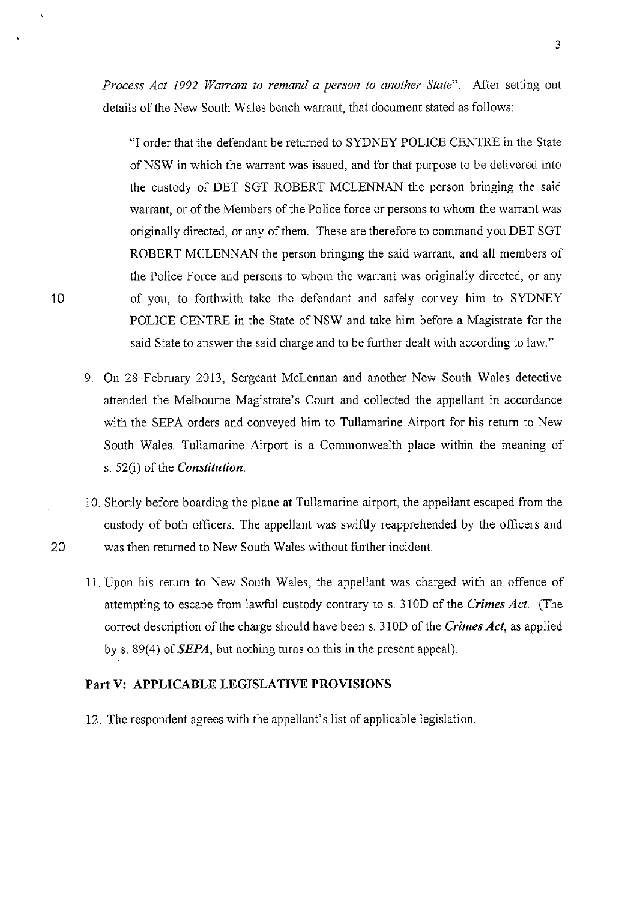3

*Process Act 1992 Warrant to remand a person to another State".* After setting out details of the New South Wales bench warrant, that document stated as follows:

"I order that the defendant be returned to SYDNEY POLICE CENTRE in the State of NSW in which the warrant was issued, and for that purpose to be delivered into the custody of DET SGT ROBERT MCLENNAN the person bringing the said warrant, or of the Members of the Police force or persons to whom the warrant was originally directed, or any of them. These are therefore to command you DET SGT ROBERT MCLENNAN the person bringing the said warrant, and all members of the Police Force and persons to whom the warrant was originally directed, or any of you, to forthwith take the defendant and safely convey him to SYDNEY POLICE CENTRE in the State of NSW and take him before a Magistrate for the said State to answer the said charge and to be further dealt with according to law."

- 9. On 28 February 2013, Sergeant McLennan and another New South Wales detective attended the Melbourne Magistrate's Court and collected the appellant in accordance with the SEPA orders and conveyed him to Tullamarine Airport for his return to New South Wales. Tullamarine Airport is a Commonwealth place within the meaning of s. 52(i) of the *Constitution.*
- 10. Shortly before boarding the plane at Tullamarine airport, the appellant escaped from the custody of both officers. The appellant was swiftly reapprehended by the officers and 20 was then returned to New South Wales without further incident.
	- 11. Upon his return to New South Wales, the appellant was charged with an offence of attempting to escape from lawful custody contrary to s. 31 OD of the *Crimes Act.* (The correct description of the charge should have been s. 310D of the *Crimes Act,* as applied by s. 89(4) of SEPA, but nothing turns on this in the present appeal).

## **Part V: APPLICABLE LEGISLATIVE PROVISIONS**

12. The respondent agrees with the appellant's list of applicable legislation.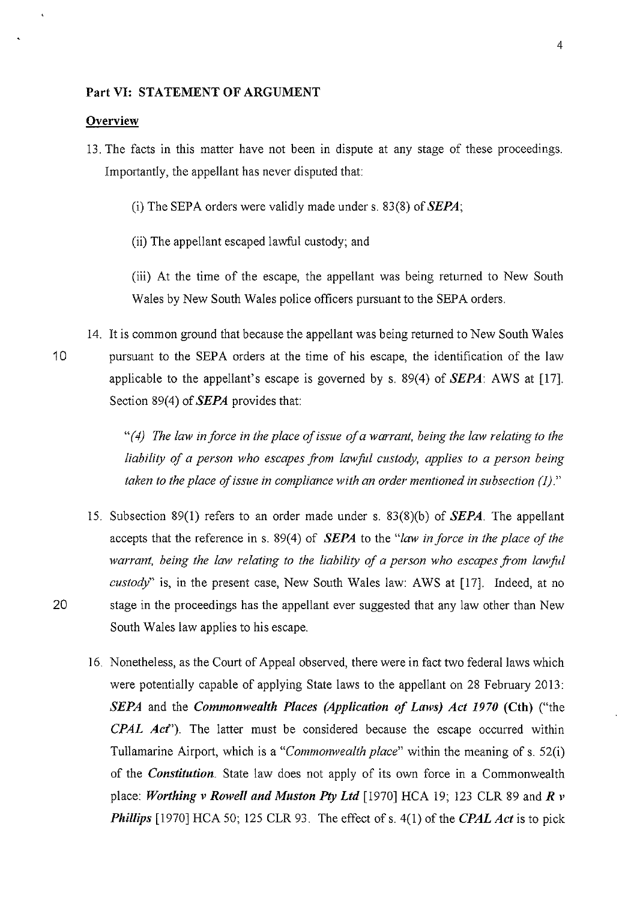#### Part VI: STATEMENT OF ARGUMENT

#### **Overview**

- 13. The facts in this matter have not been in dispute at any stage of these proceedings. Importantly, the appellant has never disputed that:
	- (i) The SEPA orders were validly made under s. 83(8) of *SEPA;*
	- (ii) The appellant escaped lawful custody; and

(iii) At the time of the escape, the appellant was being returned to New South Wales by New South Wales police officers pursuant to the SEPA orders.

14. It is common ground that because the appellant was being returned to New South Wales 10 pursuant to the SEPA orders at the time of his escape, the identification of the law applicable to the appellant's escape is governed by s. 89(4) of *SEPA:* AWS at [17]. Section 89(4) of *SEPA* provides that:

> *"(4) The law in force in the place of issue of a warrant, being the law relating to the liability of a person who escapes from lawfit! custody, applies to a person being taken to the place of issue in compliance with an order mentioned in subsection (1)."*

- 15. Subsection 89(1) refers to an order made under s. 83(8)(b) of *SEPA.* The appellant accepts that the reference in s. 89(4) of *SEPA* to the *"law in force in the place of the warrant, being the law relating to the liability of a person who escapes from lawful custody"* is, in the present case, New South Wales law: AWS at [17]. Indeed, at no 20 stage in the proceedings has the appellant ever suggested that any law other than New South Wales law applies to his escape.
	- 16. Nonetheless, as the Court of Appeal observed, there were in fact two federal laws which were potentially capable of applying State laws to the appellant on 28 February 2013: *SEPA* and the *Comnwnwealth Places (Application of Laws) Act 1970* (Cth) ("the *CPAL Ad').* The latter must be considered because the escape occurred within Tullamarine Airport, which is a *"Commonwealth place"* within the meaning of s. 52(i) of the *Constitution.* State law does not apply of its own force in a Commonwealth place: *Worthing v Rowell and Muston* Pty *Ltd* [1970] HCA 19; 123 CLR 89 and *R v Phillips* [1970] HCA 50; 125 CLR 93. The effect of s. 4(1) of the *CPAL Act* is to pick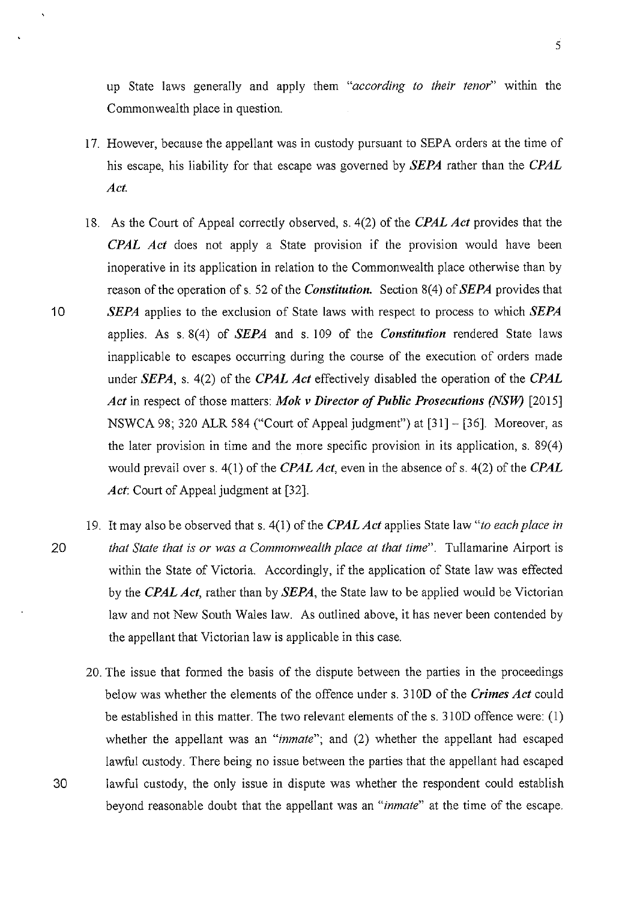up State laws generally and apply them *"according to their tenor"* within the Commonwealth place in question.

- 17. However, because the appellant was in custody pursuant to SEPA orders at the time of his escape, his liability for that escape was governed by *SEPA* rather than the *CPAL Act.*
- 18. As the Court of Appeal correctly observed, s. 4(2) of the *CPAL Act* provides that the *CPAL Act* does not apply a State provision if the provision would have been inoperative in its application in relation to the Commonwealth place otherwise than by reason of the operation of s. 52 of the *Constitution.* Section 8(4) of *SEPA* provides that 10 *SEPA* applies to the exclusion of State laws with respect to process to which *SEPA*  applies. As s. 8(4) of *SEPA* and s. 109 of the *Constitution* rendered State laws inapplicable to escapes occurring during the course of the execution of orders made under *SEPA,* s. 4(2) of the *CPAL Act* effectively disabled the operation of the *CPAL Act* in respect of those matters: *Mok v Director of Public Prosecutions (NSW)* [2015] NSWCA 98; 320 ALR 584 ("Court of Appeal judgment") at [31]- [36]. Moreover, as the later provision in time and the more specific provision in its application, s.  $89(4)$ would prevail over s. 4(1) of the *CPAL Act*, even in the absence of s. 4(2) of the *CPAL* Act: Court of Appeal judgment at [32].
- 19. It may also be observed that s. 4(1) of the *CPALAct* applies State law *"to each place* in 20 *that State that* is *or was a Commonwealth place at that time".* Tullamarine Airport is within the State of Victoria. Accordingly, if the application of State law was effected by the *CPAL Act,* rather than by *SEPA,* the State law to be applied would be Victorian law and not New South Wales law. As outlined above, it has never been contended by the appellant that Victorian law is applicable in this case.
- 20. The issue that formed the basis of the dispute between the parties in the proceedings below was whether the elements of the offence under s. 31 OD of the *Crimes Act* could be established in this matter. The two relevant elements of the s. 310D offence were: (1) whether the appellant was an *"inmate";* and (2) whether the appellant had escaped lawful custody. There being no issue between the parties that the appellant had escaped 30 lawful custody, the only issue in dispute was whether the respondent could establish beyond reasonable doubt that the appellant was an *"inmate"* at the time of the escape.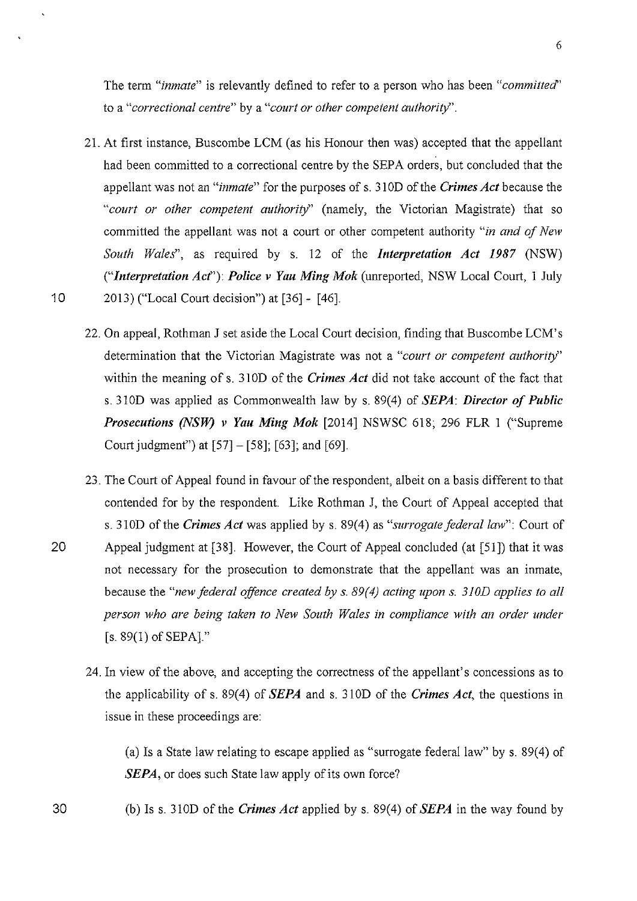The term *"inmate"* is relevantly defined to refer to a person who has been *"committed''*  to a *"correctional centre"* by a *"court or other competent authority".* 

- 2L At first instance, Buscombe LCM (as his Honour then was) accepted that the appellant had been committed to a correctional centre by the SEPA orders, but concluded that the appellant was not an "*inmate*" for the purposes of s. 310D of the *Crimes Act* because the *"court or other competent authority"* (namely, the Victorian Magistrate) that so committed the appellant was not a court or other competent authority *"in and of New South Wales",* as required by s. 12 of the *Interpretation Act I987* (NSW) *("Interpretation Acf'): Police v Yau Ming Mok* (unreported, NSW Local Court, 1 July 10 2013) ("Local Court decision") at [36] - [46].
	- 22. On appeal, Rothman J set aside the Local Court decision, finding that Buscombe LCM' s determination that the Victorian Magistrate was not a *"court or competent authority"*  within the meaning of s. 310D of the *Crimes Act* did not take account of the fact that s. 310D was applied as Commonwealth law by s. 89(4) of *SEPA: Director of Public Prosecutions (NSW) v Yau Ming Mok* [2014] NSWSC 618; 296 FLR 1 ("Supreme Court judgment") at [57]- [58]; [63]; and [69].
- 23. The Court of Appeal found in favour of the respondent, albeit on a basis different to that contended for by the respondent. Like Rothman J, the Court of Appeal accepted that s. 310D of the *Crimes Act* was applied by s. 89(4) as *"surrogate federal law":* Court of 20 Appeal judgment at [38]. However, the Court of Appeal concluded (at [51]) that it was not necessary for the prosecution to demonstrate that the appellant was an inmate, because the *"new federal offence created by s. 89(4) acting upon s. 310D applies to all person who are being taken to New South Wales in compliance with an order under*   $[s. 89(1)$  of SEPA]."
	- 24. In view of the above, and accepting the correctness of the appellant's concessions as to the applicability of s. 89(4) of *SEPA* and s. 310D of the *Crimes Act,* the questions in issue in these proceedings are:

(a) Is a State law relating to escape applied as "surrogate federal law" by s. 89(4) of *SEPA*, or does such State law apply of its own force?

(b) Iss. 310D of the *Crimes Act* applied by s. 89(4) of *SEPA* in the way found by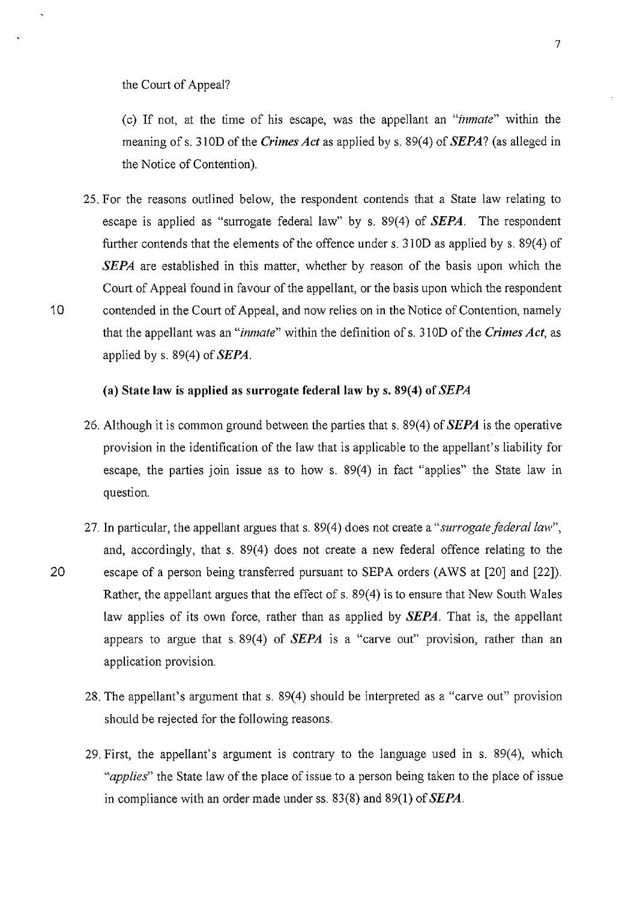the Court of Appeal?

(c) If not, at the time of his escape, was the appellant an *"inmate"* within the meaning of s. 310D of the *Crimes Act* as applied by s. 89(4) of *SEPA?* (as alleged in the Notice of Contention).

25. For the reasons outlined below, the respondent contends that a State law relating to escape is applied as "surrogate federal law" by s. 89(4) of *SEPA.* The respondent further contends that the elements of the offence under s.  $310D$  as applied by s.  $89(4)$  of *SEPA* are established in this matter, whether by reason of the basis upon which the Court of Appeal found in favour of the appellant, or the basis upon which the respondent 10 contended in the Court of Appeal, and now relies on in the Notice of Contention, namely that the appellant was an *"inmate"* within the definition of s. 31 OD of the *Crimes Act,* as applied by s. 89(4) of *SEPA.* 

## **(a) State law is applied as surrogate federal law by s. 89(4) of** *SEPA*

- 26. Although it is common ground between the parties that s. 89(4) of *SEPA* is the operative provision in the identification of the law that is applicable to the appellant's liability for escape, the parties join issue as to how s. 89(4) in fact "applies" the State law in question.
- 27. **In** particular, the appellant argues that s. 89(4) does not create a *"surrogate federal law",*  and, accordingly, that s. 89(4) does not create a new federal offence relating to the 20 escape of a person being transferred pursuant to SEPA orders (AWS at [20] and [22]). Rather, the appellant argues that the effect of s. 89(4) is to ensure that New South Wales law applies of its own force, rather than as applied by *SEPA.* That is, the appellant appears to argue that s. 89(4) of  $SEPA$  is a "carve out" provision, rather than an application provision.
	- 28. The appellant's argument that s. 89(4) should be interpreted as a "carve out" provision should be rejected for the following reasons.
	- 29. First, the appellant's argument is contrary to the language used in s. 89(4), which *"applies"* the State law of the place of issue to a person being taken to the place of issue in compliance with an order made under ss. 83(8) and 89(1) of *SEPA.*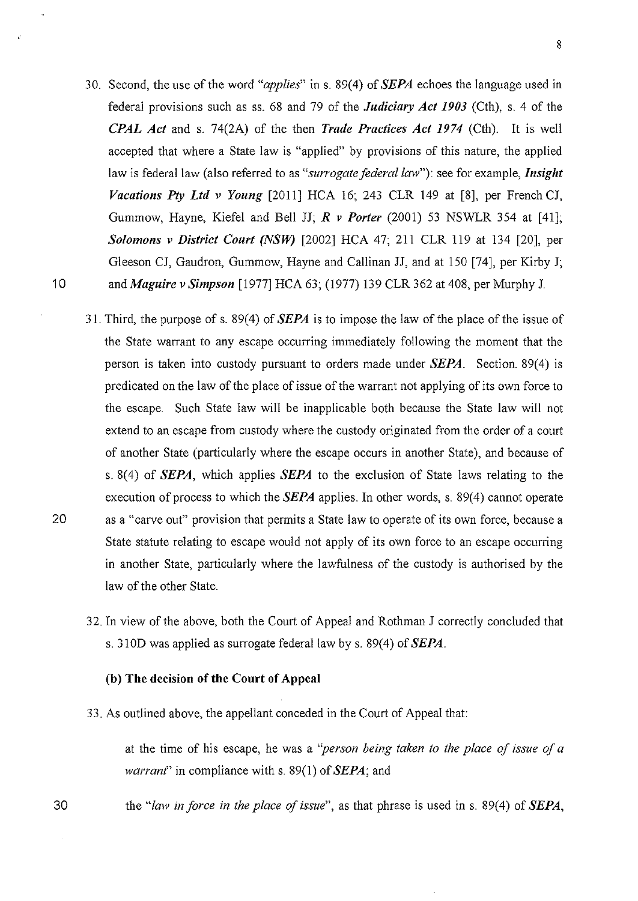- 30. Second, the use of the word *"applies"* ins. 89(4) of *SEPA* echoes the language used in federal provisions such as ss. 68 and 79 of the *Judiciary Act 1903* (Cth), s. 4 of the *CPAL Act* and s. 74(2A) of the then *Trade Practices Act 1974* (Cth). It is well accepted that where a State law is "applied" by provisions of this nature, the applied law is federal law (also referred to as *"surrogate federal law"):* see for example, *Insight Vacations Pty Ltd v Young* [2011] HCA 16; 243 CLR 149 at [8], per French CJ, Gummow, Hayne, Kiefel and Bell JJ; *R v Porter* (2001) 53 NSWLR 354 at [41]; *Solomons v District Court (NSW)* [2002] HCA 47; 211 CLR 119 at 134 [20], per Gleeson CJ, Gaudron, Gummow, Hayne and Callinan JJ, and at 150 [74], per Kirby J; 10 and *Maguire v Simpson* [1977] HCA 63; (1977) 139 CLR 362 at 408, per Murphy J.
- 31. Third, the purpose of s. 89(4) of *SEPA* is to impose the law of the place of the issue of the State warrant to any escape occurring immediately following the moment that the person is taken into custody pursuant to orders made under *SEPA.* Section. 89(4) is predicated on the law of the place of issue of the warrant not applying of its own force to the escape. Such State law will be inapplicable both because the State law will not extend to an escape from custody where the custody originated from the order of a court of another State (particularly where the escape occurs in another State), and because of s. 8( 4) of *SEPA,* which applies *SEPA* to the exclusion of State laws relating to the execution of process to which the *SEPA* applies. In other words, s. 89(4) cannot operate 20 as a "carve out" provision that permits a State law to operate of its own force, because a State statute relating to escape would not apply of its own force to an escape occurring in another State, particularly where the lawfulness of the custody is authorised by the law of the other State.
	- 32. In view of the above, both the Court of Appeal and Rothman J correctly concluded that s. 310D was applied as surrogate federal law by s. 89(4) of *SEPA.*

#### (b) The decision of the Court of Appeal

33. As outlined above, the appellant conceded in the Court of Appeal that:

at the time of his escape, he was a *"person being taken to the place of issue qf a warrant'* in compliance with s. 89(1) of *SEPA;* and

the "law in force in the place of issue", as that phrase is used in s. 89(4) of *SEPA*,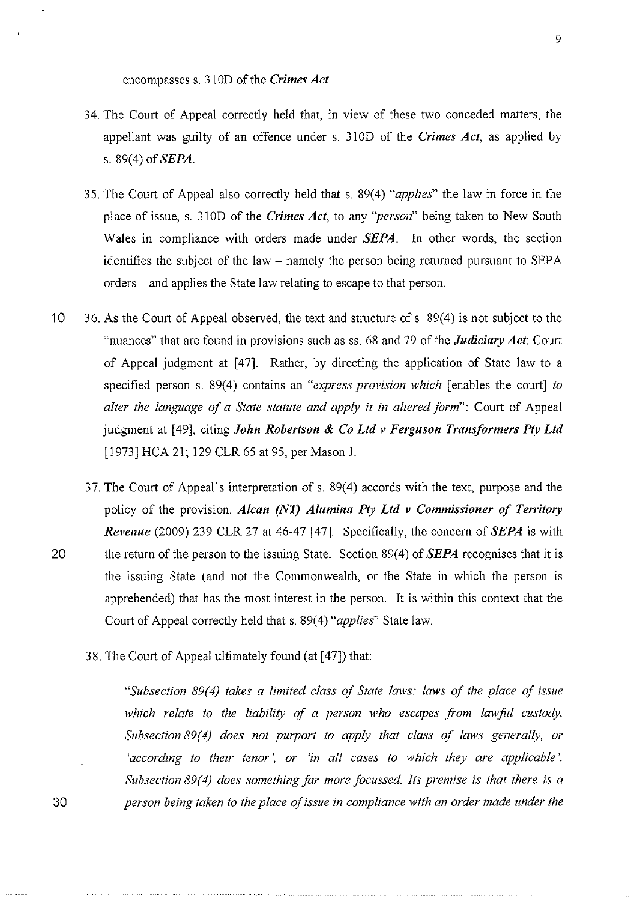encompasses s. 31 OD of the *Crimes Act.* 

- 34. The Court of Appeal correctly held that, in view of these two conceded matters, the appellant was guilty of an offence under s. 31 OD of the *Crimes Act,* as applied by s. 89(4) of *SEPA.*
- 35. The Court of Appeal also correctly held that s. 89( 4) *"applies"* the law in force in the place of issue, s. 31 OD of the *Crimes Act,* to any *"person"* being taken to New South Wales in compliance with orders made under *SEPA.* In other words, the section identifies the subject of the law- namely the person being returned pursuant to SEPA orders- and applies the State law relating to escape to that person.
- 10 36. As the Court of Appeal observed, the text and structure of s. 89(4) is not subject to the "nuances" that are found in provisions such as ss. 68 and 79 of the *Judiciary Act:* Court of Appeal judgment at [47]. Rather, by directing the application of State law to a specified person s. 89(4) contains an *"express provision which* [enables the court] *to alter the language of a State statute and apply it in altered form":* Court of Appeal judgment at [49], citing *John Robertson* & *Co Ltd v Ferguson Transformers Pty Ltd*  [1973] HCA 21; 129 CLR 65 at 95, per Mason **J.**
- 37. The Court of Appeal's interpretation of s. 89(4) accords with the text, purpose and the policy of the provision: *Alcan (NT) Alumina Pty Ltd v Commissioner of Territory Revenue* (2009) 239 CLR 27 at 46-47 [ 47]. Specifically, the concern of *SEPA* is with 20 the return of the person to the issuing State. Section 89(4) of *SEPA* recognises that it is the issuing State (and not the Commonwealth, or the State in which the person is apprehended) that has the most interest in the person. It is within this context that the Court of Appeal correctly held that s. 89(4) *"applies"* State law.
	- 38. The Court of Appeal ultimately found (at [47]) that:

"Subsection 89(4) takes a limited class of State laws: laws of the place of issue which relate to the liability of a person who escapes from lawful custody. *Subsection 89(4) does not purport to apply that class of laws generally, or 'according to their tenor', or 'in all cases to which they are applicable'. Subsection 89(4) does something far more focussed. Its premise is that there is a* 30 *person being taken to the place of issue in compliance with an order made under the*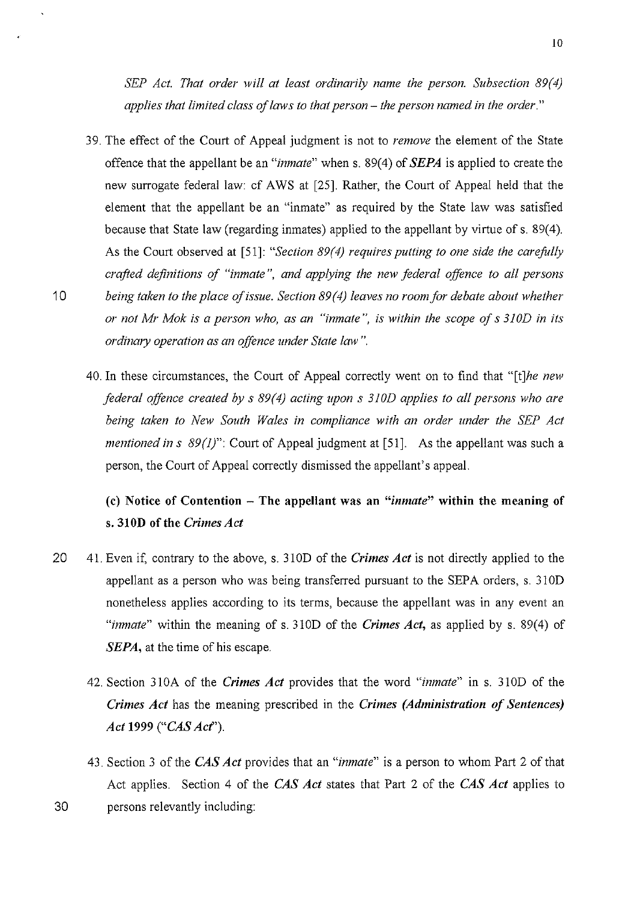*SEP Act. That order will at least ordinarily name the person. Subsection 89(4) applies that limited class of laws to that person- the person named in the order."* 

- 39. The effect of the Court of Appeal judgment is not to *remove* the element of the State offence that the appellant be an *"inmate"* when s. 89(4) of *SEPA* is applied to create the new surrogate federal law: cf AWS at [25]. Rather, the Court of Appeal held that the element that the appellant be an "inmate" as required by the State law was satisfied because that State law (regarding inmates) applied to the appellant by virtue of s. 89(4). As the Court observed at [51]: "*Section 89(4) requires putting to one side the carefully crafted definitions of "inmate", and applying the new federal offence to all persons*  10 *being taken to the place of issue. Section 89(4) leaves no room for debate about whether or not Mr Mok is a person who, as an "inmate",* is *within the scope of* s *3IOD in its ordinary operation as an offence under State law".* 
	- 40. In these circumstances, the Court of Appeal correctly went on to find that *"[t]he new federal offence created by* s *89(4) acting upon* s *310D applies to all persons who are being taken to New South Wales in compliance with an order under the SEP Act mentioned in s 89(1)*": Court of Appeal judgment at [51]. As the appellant was such a person, the Court of Appeal correctly dismissed the appellant's appeal.

# (c) Notice of Contention -The appellant was an *"inmate"* within the meaning of s. 310D of the *Crimes Act*

- 20 41. Even if, contrary to the above, s. 31 OD of the *Crimes Act* is not directly applied to the appellant as a person who was being transferred pursuant to the SEPA orders, s. 310D nonetheless applies according to its terms, because the appellant was in any event an *"inmate"* within the meaning of s. 310D of the *Crimes Act,* as applied by s. 89(4) of *SEPA,* at the time of his escape.
	- 42. Section 310A of the *Crimes Act* provides that the word "*inmate*" in s. 310D of the *Crimes Act* has the meaning prescribed in the *Crimes (Administration of Sentences) Act* 1999 *("CAS Acf').*
- 43. Section 3 of the *CAS Act* provides that an *"inmate"* is a person to whom Part 2 of that Act applies. Section 4 of the *CAS Act* states that Part 2 of the *CAS Act* applies to 30 persons relevantly including: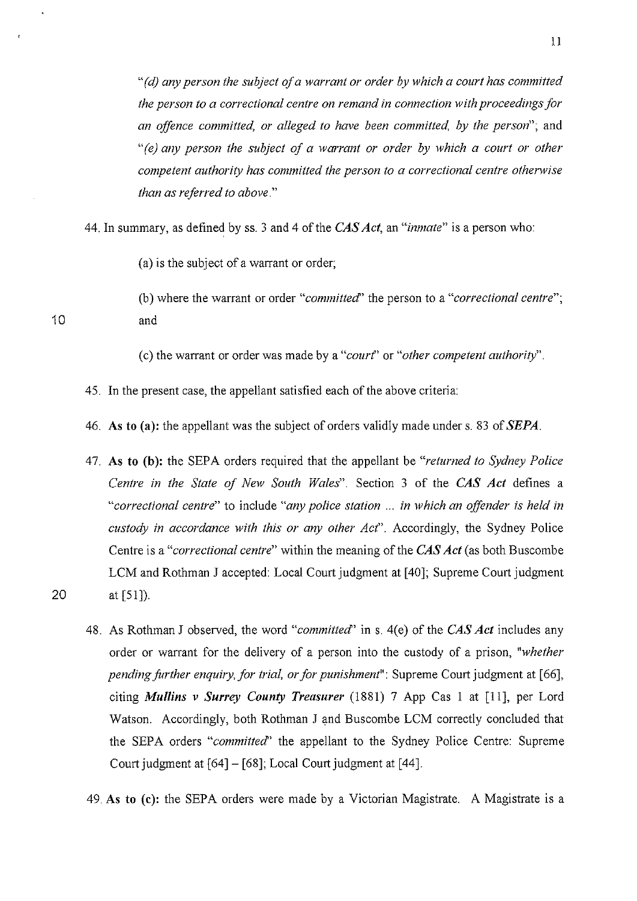*"(d) any person the subject of a warrant or order by which a court has committed the person to a correctional centre on remand in connection with proceedings for an offence committed, or alleged to have been committed, by the person";* and *"(e) any person the subject of a warrant or order by which a court or other competent authority has committed the person to a correctional centre otherwise than as referred to above."* 

44. In summary, as defined by ss. 3 and 4 of the *CAS Act,* an *"inmate"* is a person who:

(a) is the subject of a warrant or order;

(b) where the warrant or order *"committed'* the person to a *"correctional centre";*  and

(c) the warrant or order was made by a *"court'* or *"other competent authority".* 

45. In the present case, the appellant satisfied each of the above criteria:

46. As to (a): the appellant was the subject of orders validly made under s. 83 of *SEPA.* 

47. As to (b): the SEPA orders required that the appellant be *"returned to Sydney Police Centre in the State of New South Wales".* Section 3 of the *CAS Act* defines a *"correctional centre"* to include *"any police station* ... *in which an offender is held in custody in accordance with this or any other Act".* Accordingly, the Sydney Police Centre is a *"correctional centre"* within the meaning of the *CAS Act* (as both Buscombe LCM and Rothman J accepted: Local Court judgment at [ 40]; Supreme Court judgment 20 at [51]).

48. As Rothman J observed, the word *"committed'* ins. 4(e) of the *CAS Act* includes any order or warrant for the delivery of a person into the custody of a prison, *"whether pending further enquiry, for trial, or for punishment*": Supreme Court judgment at [66], citing *Mullins v Surrey County Treasurer* (1881) 7 App Cas I at [II], per Lord Watson. Accordingly, both Rothman J and Buscombe LCM correctly concluded that the SEPA orders *"committed'* the appellant to the Sydney Police Centre: Supreme Court judgment at [64]- [68]; Local Court judgment at [44].

49. As to (c): the SEPA orders were made by a Victorian Magistrate. A Magistrate is a

ll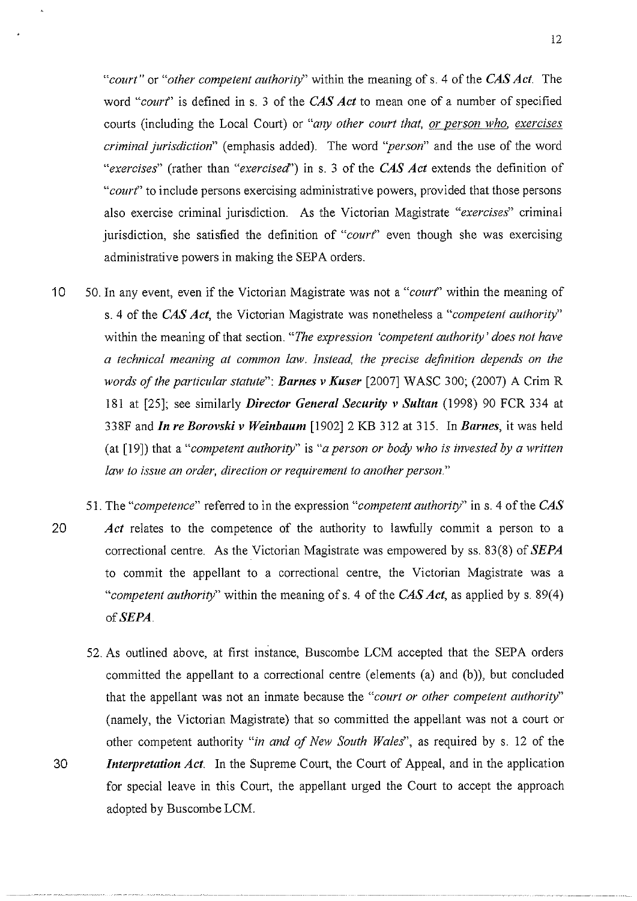*"court"* or *"other competent authority"* within the meaning of s. 4 of the *CAS Act.* The word *"courf'* is defined in s. 3 of the *CAS Act* to mean one of a number of specified courts (including the Local Court) or *"any other court that, or person who, exercises criminal jurisdiction"* (emphasis added). The word *"person"* and the use of the word *"exercises"* (rather than *"exercised')* in s. 3 of the *CAS Act* extends the definition of *"courf'* to include persons exercising administrative powers, provided that those persons also exercise criminal jurisdiction. As the Victorian Magistrate *"exercises"* criminal jurisdiction, she satisfied the definition of " $court$ " even though she was exercising administrative powers in making the SEPA orders.

- 10 50. In any event, even if the Victorian Magistrate was not a *"courf'* within the meaning of s. 4 of the *CAS Act,* the Victorian Magistrate was nonetheless a *"competent authority"*  within the meaning of that section. "The expression 'competent authority' does not have *a technical meaning at common law. Instead, the precise definition depends on the words of the particular statute": Barnes v Kuser* [2007] WASC 300; (2007) A Crim R 181 at [25]; see similarly *Director General Security v Sultan* (1998) 90 FCR 334 at 338F and *In re Borovski v Weinbaum* [1902] 2 KB 312 at 315. In *Barnes,* it was held (at [19]) that a *"competent authority"* is *"a person or body who* is *invested by a written lmv to issue an order, direction or requirement to another person."*
- 51. The *"competence"* referred to in the expression *"competent authority"* in s. 4 of the *CAS*  20 *Act* relates to the competence of the authority to lawfully commit a person to a correctional centre. As the Victorian Magistrate was empowered by ss. 83(8) of *SEPA*  to commit the appellant to a correctional centre, the Victorian Magistrate was a *"competent authority"* within the meaning of s. 4 of the *CAS Act*, as applied by s. 89(4) of **SEPA**.
- 52. As outlined above, at first instance, Buscombe LCM accepted that the SEPA orders committed the appellant to a correctional centre (elements (a) and (b)), but concluded that the appellant was not an inmate because the *"court or other competent authority"*  (namely, the Victorian Magistrate) that so committed the appellant was not a court or other competent authority *"in and of New South Wales",* as required by s. 12 of the 30 *Interpretation Act.* In the Supreme Court, the Court of Appeal, and in the application for special leave in this Court, the appellant urged the Court to accept the approach adopted by Buscombe LCM.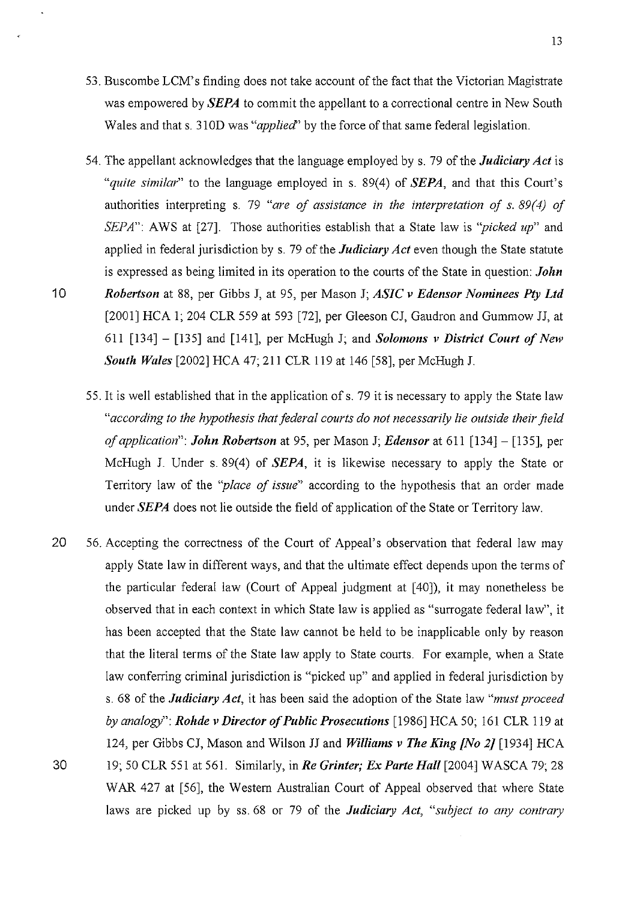- 53. Buscombe LCM' s finding does not take account of the fact that the Victorian Magistrate was empowered by *SEPA* to commit the appellant to a correctional centre in New South Wales and that s. 310D was "*applied*" by the force of that same federal legislation.
- 54. The appellant acknowledges that the language employed by s. 79 of the *Judiciary Act* is *"quite similar"* to the language employed in s. 89(4) of *SEPA,* and that this Court's authorities interpreting s. 79 *"are of assistance in the interpretation of s. 89(4) of SEPA*": AWS at [27]. Those authorities establish that a State law is *"picked up*" and applied in federal jurisdiction by s. 79 of the *Judiciary Act* even though the State statute is expressed as being limited in its operation to the courts of the State in question: *John*  10 *Robertson* at 88, per Gibbs J, at 95, per Mason J; *ASIC v Edensor Nominees Pty Ltd*  [2001] HCA 1; 204 CLR 559 at 593 [72], per Gleeson CJ, Gaudron and Gummow JJ, at 611 [134] - [135] and [141], per McHugh J; and *Solomons v District Court of New South Wales* [2002] HCA 47; 211 CLR 119 at 146 [58], per McHugh J.
	- 55. It is well established that in the application of s. 79 it is necessary to apply the State law *"according to the hypothesis that federal courts do not necessarily lie outside their field of application": John Robertson* at 95, per Mason J; *Edensor* at 611 [134]- [135], per McHugh J. Under s. 89(4) of *SEPA,* it is likewise necessary to apply the State or Territory law of the *"place of issue"* according to the hypothesis that an order made under *SEPA* does not lie outside the field of application of the State or Territory law.
- 20 56. Accepting the correctness of the Court of Appeal's observation that federal law may apply State law in different ways, and that the ultimate effect depends upon the terms of the particular federal law (Court of Appeal judgment at [40]), it may nonetheless be observed that in each context in which State law is applied as "surrogate federal law", it has been accepted that the State law cannot be held to be inapplicable only by reason that the literal terms of the State law apply to State courts. For example, when a State law conferring criminal jurisdiction is "picked up" and applied in federal jurisdiction by s. 68 of the *Judiciary Act,* it has been said the adoption of the State law *"must proceed by analogy": Rohde v Director of Public Prosecutions* [1986] HCA 50; 161 CLR 119 at 124, per Gibbs CJ, Mason and Wilson JJ and *Williams v The King {No 2]* [1934] HCA 30 19; 50 CLR 551 at 561. Similarly, in *Re Grinter; Ex Parte Hall* [2004] WASCA 79; 28 WAR 427 at [56], the Western Australian Court of Appeal observed that where State laws are picked up by ss. 68 or 79 of the *Judiciary Act, "subject to any contrary*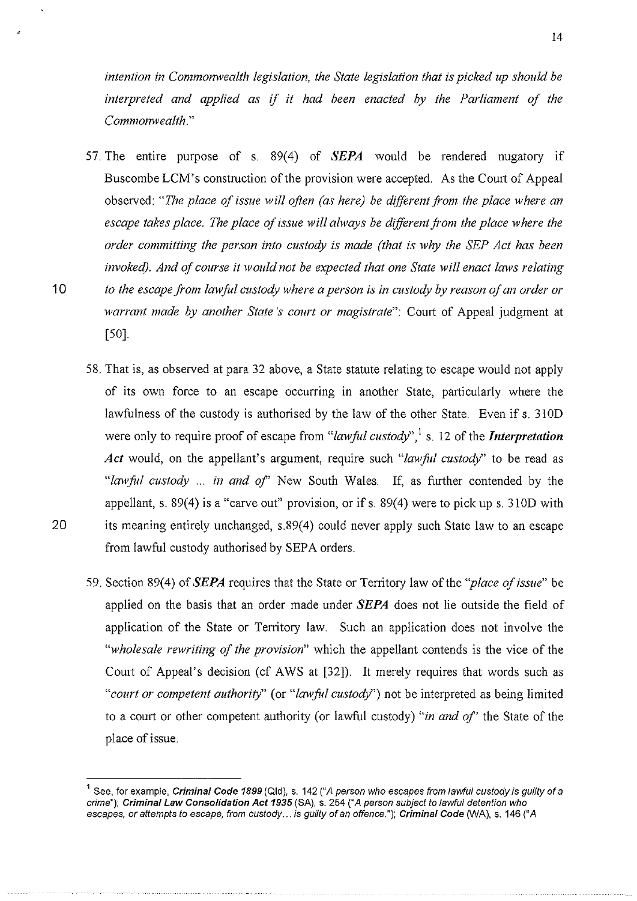*intention in Commonwealth legislation, the State legislation that is picked up should be interpreted and applied as* if *it had been enacted by the Parliament of the Commonwealth."* 

- 57. The entire purpose of s. 89(4) of **SEPA** would be rendered nugatory if Buscombe LCM's construction of the provision were accepted. As the Court of Appeal observed: *"The place of issue will often (as here) be different from the place where an*  escape takes place. The place of issue will always be different from the place where the *order committing the person into custody is made (that is why the SEP Act has been invoked). And of course it would not be expected that one State will enact laws relating*  1 0 *to the escape from lawful custody where a person is in custody by reason of an order or warrant made by another State's court or magistrate":* Court of Appeal judgment at [50].
- 58. That is, as observed at para 32 above, a State statute relating to escape would not apply of its own force to an escape occurring in another State, particularly where the lawfulness of the custody is authorised by the law of the other State. Even if s. 310D were only to require proof of escape from "*lawful custody*",<sup>1</sup> s. 12 of the *Interpretation Act* would, on the appellant's argument, require such "law ful custody" to be read as *"lawful custody* ... *in and of'* New South Wales. If, as further contended by the appellant, s. 89(4) is a "carve out" provision, or if s. 89(4) were to pick ups. 310D with 20 its meaning entirely unchanged, s.89(4) could never apply such State law to an escape from lawful custody authorised by SEPA orders.
	- 59. Section 89(4) of *SEPA* requires that the State or Territory law ofthe *"place of issue"* be applied on the basis that an order made under *SEPA* does not lie outside the field of application of the State or Territory law. Such an application does not involve the *"wholesale rewriting of the provision"* which the appellant contends is the vice of the Court of Appeal's decision (cf AWS at [32]). It merely requires that words such as *"court or competent authority"* (or *"lawful custody")* not be interpreted as being limited to a court or other competent authority (or lawful custody) *"in and of'* the State of the place of issue.

See, for example, Criminal Code 1899 (Qld), s. 142 ("A person who escapes from lawful custody is quilty of a crime"); Criminal Law Consolidation Act 1935 (SA), s. 254 ("A person subject to lawful detention who escapes, or attempts to escape, from custody ... is guilty of an offence."); Criminal Code (WA), s. 146 ("A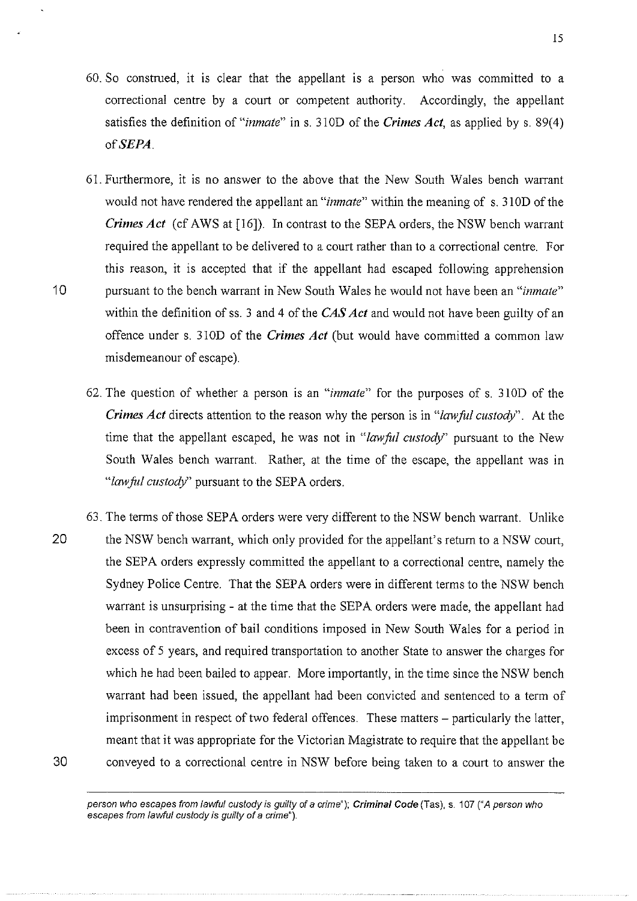- 60. So construed, it is clear that the appellant is a person who was committed to a correctional centre by a court or competent authority. Accordingly, the appellant satisfies the definition of "*inmate*" in s. 310D of the *Crimes Act*, as applied by s. 89(4) *ofSEPA.*
- 61. Furthermore, it is no answer to the above that the New South Wales bench warrant would not have rendered the appellant an *"inmate"* within the meaning of s. 31 OD of the *Crimes Act* (cf AWS at [16]). In contrast to the SEPA orders, the NSW bench warrant required the appellant to be delivered to a court rather than to a correctional centre. For this reason, it is accepted that if the appellant had escaped following apprehension 10 pursuant to the bench warrant in New South Wales he would not have been an *"inmate"*  within the definition of ss. 3 and 4 of the *CAS Act* and would not have been guilty of an offence under s. 310D of the *Crimes Act* (but would have committed a common law misdemeanour of escape).
	- 62. The question of whether a person is an *"inmate"* for the purposes of s. 310D of the *Crimes Act* directs attention to the reason why the person is in *"lawfol custody".* At the time that the appellant escaped, he was not in *"lawful custody"* pursuant to the New South Wales bench warrant. Rather, at the time of the escape, the appellant was in *"law fit! custody"* pursuant to the SEPA orders.
- 63. The terms of those SEP A orders were very different to the NSW bench warrant. Unlike 20 the NSW bench warrant, which only provided for the appellant's return to a NSW court, the SEP A orders expressly committed the appellant to a correctional centre, namely the Sydney Police Centre. That the SEPA orders were in different terms to the NSW bench warrant is unsurprising - at the time that the SEPA orders were made, the appellant had been in contravention of bail conditions imposed in New South Wales for a period in excess of 5 years, and required transportation to another State to answer the charges for which he had been bailed to appear. More importantly, in the time since the NSW bench warrant had been issued, the appellant had been convicted and sentenced to a term of imprisonment in respect of two federal offences. These matters – particularly the latter, meant that it was appropriate for the Victorian Magistrate to require that the appellant be 30 conveyed to a correctional centre in NSW before being taken to a court to answer the